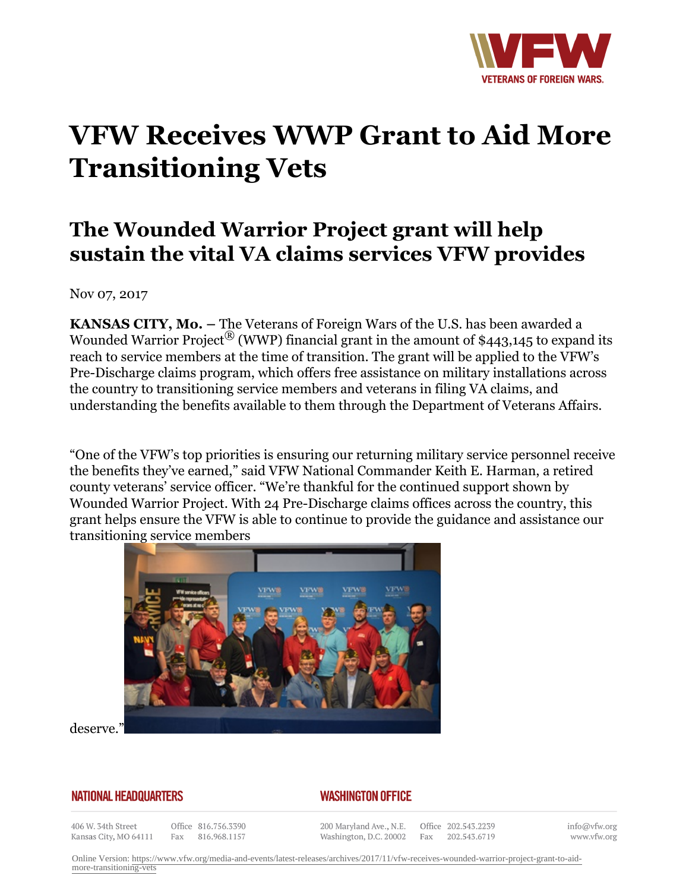

## **VFW Receives WWP Grant to Aid More Transitioning Vets**

## **The Wounded Warrior Project grant will help sustain the vital VA claims services VFW provides**

Nov 07, 2017

**KANSAS CITY, Mo. –** The Veterans of Foreign Wars of the U.S. has been awarded a Wounded Warrior Project<sup>®</sup> (WWP) financial grant in the amount of \$443,145 to expand its reach to service members at the time of transition. The grant will be applied to the VFW's Pre-Discharge claims program, which offers free assistance on military installations across the country to transitioning service members and veterans in filing VA claims, and understanding the benefits available to them through the Department of Veterans Affairs.

"One of the VFW's top priorities is ensuring our returning military service personnel receive the benefits they've earned," said VFW National Commander Keith E. Harman, a retired county veterans' service officer. "We're thankful for the continued support shown by Wounded Warrior Project. With 24 Pre-Discharge claims offices across the country, this grant helps ensure the VFW is able to continue to provide the guidance and assistance our transitioning service members



deserve."

## **NATIONAL HEADQUARTERS**

## *WASHINGTON OFFICE*

406 W. 34th Street Kansas City, MO 64111

Office 816.756.3390 Fax 816.968.1157

200 Maryland Ave., N.E. Washington, D.C. 20002

Office 202.543.2239 Fax 202.543.6719

info@vfw.org www.vfw.org

Online Version: [https://www.vfw.org/media-and-events/latest-releases/archives/2017/11/vfw-receives-wounded-warrior-project-grant-to-aid](https://www.vfw.org/media-and-events/latest-releases/archives/2017/11/vfw-receives-wounded-warrior-project-grant-to-aid-more-transitioning-vets)[more-transitioning-vets](https://www.vfw.org/media-and-events/latest-releases/archives/2017/11/vfw-receives-wounded-warrior-project-grant-to-aid-more-transitioning-vets)